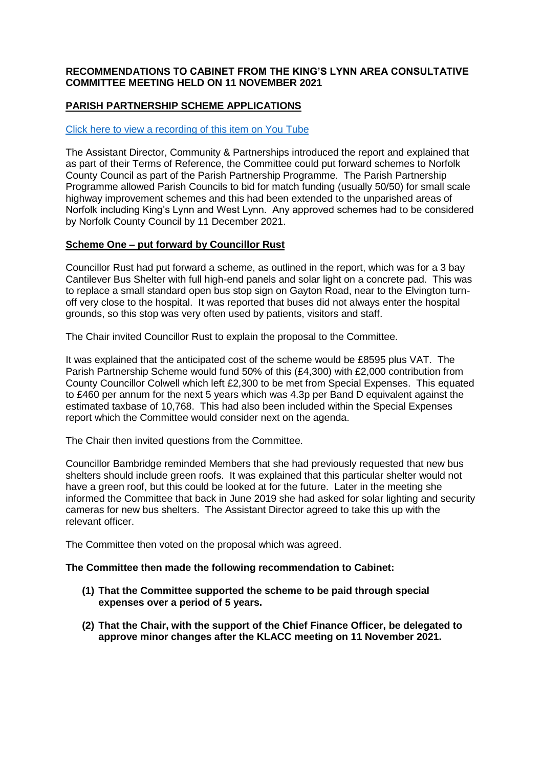## **RECOMMENDATIONS TO CABINET FROM THE KING'S LYNN AREA CONSULTATIVE COMMITTEE MEETING HELD ON 11 NOVEMBER 2021**

# **PARISH PARTNERSHIP SCHEME APPLICATIONS**

## [Click here to view a recording of this item on You Tube](https://youtu.be/ZcOOpSB35UU?t=239)

The Assistant Director, Community & Partnerships introduced the report and explained that as part of their Terms of Reference, the Committee could put forward schemes to Norfolk County Council as part of the Parish Partnership Programme. The Parish Partnership Programme allowed Parish Councils to bid for match funding (usually 50/50) for small scale highway improvement schemes and this had been extended to the unparished areas of Norfolk including King's Lynn and West Lynn. Any approved schemes had to be considered by Norfolk County Council by 11 December 2021.

## **Scheme One – put forward by Councillor Rust**

Councillor Rust had put forward a scheme, as outlined in the report, which was for a 3 bay Cantilever Bus Shelter with full high-end panels and solar light on a concrete pad. This was to replace a small standard open bus stop sign on Gayton Road, near to the Elvington turnoff very close to the hospital. It was reported that buses did not always enter the hospital grounds, so this stop was very often used by patients, visitors and staff.

The Chair invited Councillor Rust to explain the proposal to the Committee.

It was explained that the anticipated cost of the scheme would be £8595 plus VAT. The Parish Partnership Scheme would fund 50% of this (£4,300) with £2,000 contribution from County Councillor Colwell which left £2,300 to be met from Special Expenses. This equated to £460 per annum for the next 5 years which was 4.3p per Band D equivalent against the estimated taxbase of 10,768. This had also been included within the Special Expenses report which the Committee would consider next on the agenda.

The Chair then invited questions from the Committee.

Councillor Bambridge reminded Members that she had previously requested that new bus shelters should include green roofs. It was explained that this particular shelter would not have a green roof, but this could be looked at for the future. Later in the meeting she informed the Committee that back in June 2019 she had asked for solar lighting and security cameras for new bus shelters. The Assistant Director agreed to take this up with the relevant officer.

The Committee then voted on the proposal which was agreed.

#### **The Committee then made the following recommendation to Cabinet:**

- **(1) That the Committee supported the scheme to be paid through special expenses over a period of 5 years.**
- **(2) That the Chair, with the support of the Chief Finance Officer, be delegated to approve minor changes after the KLACC meeting on 11 November 2021.**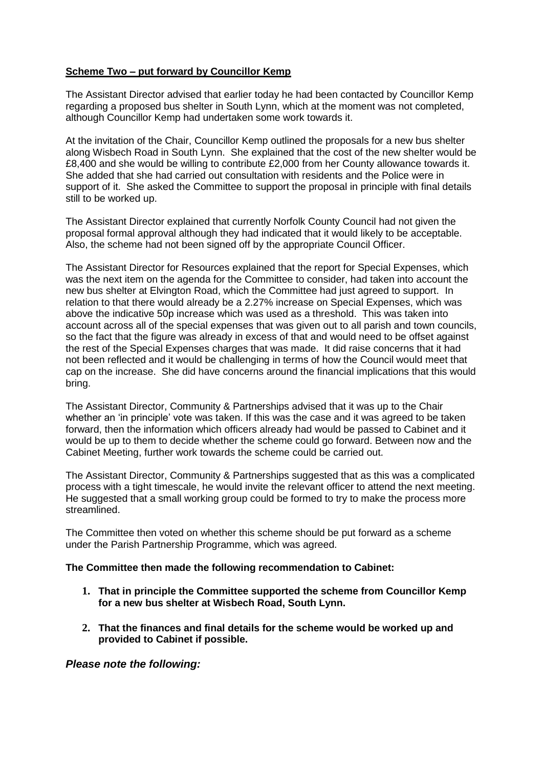# **Scheme Two – put forward by Councillor Kemp**

The Assistant Director advised that earlier today he had been contacted by Councillor Kemp regarding a proposed bus shelter in South Lynn, which at the moment was not completed, although Councillor Kemp had undertaken some work towards it.

At the invitation of the Chair, Councillor Kemp outlined the proposals for a new bus shelter along Wisbech Road in South Lynn. She explained that the cost of the new shelter would be £8,400 and she would be willing to contribute £2,000 from her County allowance towards it. She added that she had carried out consultation with residents and the Police were in support of it. She asked the Committee to support the proposal in principle with final details still to be worked up.

The Assistant Director explained that currently Norfolk County Council had not given the proposal formal approval although they had indicated that it would likely to be acceptable. Also, the scheme had not been signed off by the appropriate Council Officer.

The Assistant Director for Resources explained that the report for Special Expenses, which was the next item on the agenda for the Committee to consider, had taken into account the new bus shelter at Elvington Road, which the Committee had just agreed to support. In relation to that there would already be a 2.27% increase on Special Expenses, which was above the indicative 50p increase which was used as a threshold. This was taken into account across all of the special expenses that was given out to all parish and town councils, so the fact that the figure was already in excess of that and would need to be offset against the rest of the Special Expenses charges that was made. It did raise concerns that it had not been reflected and it would be challenging in terms of how the Council would meet that cap on the increase. She did have concerns around the financial implications that this would bring.

The Assistant Director, Community & Partnerships advised that it was up to the Chair whether an 'in principle' vote was taken. If this was the case and it was agreed to be taken forward, then the information which officers already had would be passed to Cabinet and it would be up to them to decide whether the scheme could go forward. Between now and the Cabinet Meeting, further work towards the scheme could be carried out.

The Assistant Director, Community & Partnerships suggested that as this was a complicated process with a tight timescale, he would invite the relevant officer to attend the next meeting. He suggested that a small working group could be formed to try to make the process more streamlined.

The Committee then voted on whether this scheme should be put forward as a scheme under the Parish Partnership Programme, which was agreed.

#### **The Committee then made the following recommendation to Cabinet:**

- **1. That in principle the Committee supported the scheme from Councillor Kemp for a new bus shelter at Wisbech Road, South Lynn.**
- **2. That the finances and final details for the scheme would be worked up and provided to Cabinet if possible.**

## *Please note the following:*